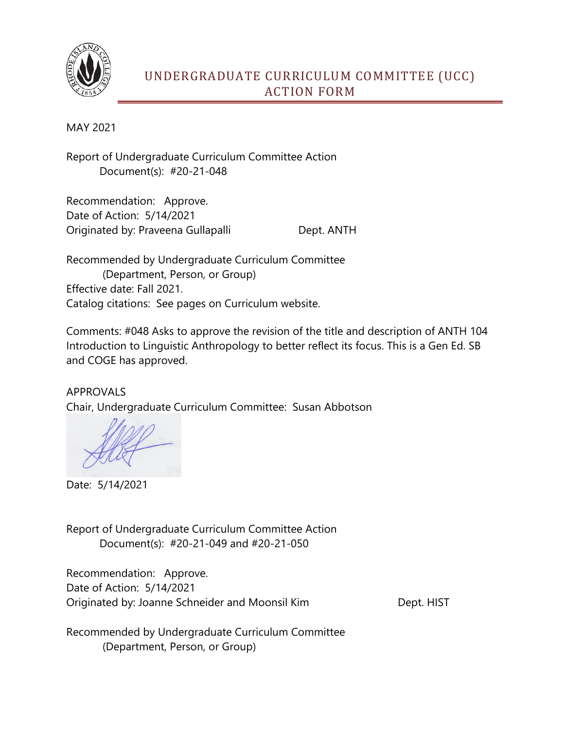

## UNDERGRADUATE CURRICULUM COMMITTEE (UCC) ACTION FORM

MAY 2021

Report of Undergraduate Curriculum Committee Action Document(s): #20-21-048

Recommendation: Approve. Date of Action: 5/14/2021 Originated by: Praveena Gullapalli Dept. ANTH

Recommended by Undergraduate Curriculum Committee (Department, Person, or Group) Effective date: Fall 2021. Catalog citations: See pages on Curriculum website.

Comments: #048 Asks to approve the revision of the title and description of ANTH 104 Introduction to Linguistic Anthropology to better reflect its focus. This is a Gen Ed. SB and COGE has approved.

APPROVALS Chair, Undergraduate Curriculum Committee: Susan Abbotson

Date: 5/14/2021

Report of Undergraduate Curriculum Committee Action Document(s): #20-21-049 and #20-21-050

Recommendation: Approve. Date of Action: 5/14/2021 Originated by: Joanne Schneider and Moonsil Kim Dept. HIST

Recommended by Undergraduate Curriculum Committee (Department, Person, or Group)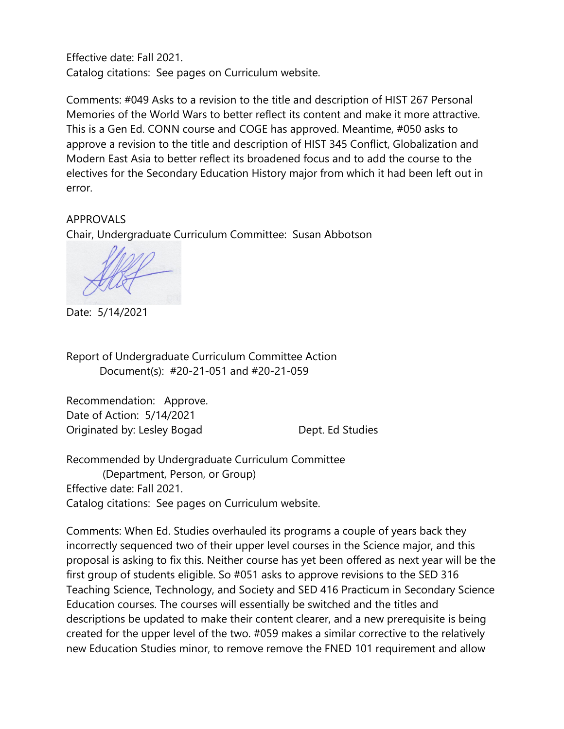Effective date: Fall 2021. Catalog citations: See pages on Curriculum website.

Comments: #049 Asks to a revision to the title and description of HIST 267 Personal Memories of the World Wars to better reflect its content and make it more attractive. This is a Gen Ed. CONN course and COGE has approved. Meantime, #050 asks to approve a revision to the title and description of HIST 345 Conflict, Globalization and Modern East Asia to better reflect its broadened focus and to add the course to the electives for the Secondary Education History major from which it had been left out in error.

APPROVALS Chair, Undergraduate Curriculum Committee: Susan Abbotson

Date: 5/14/2021

Report of Undergraduate Curriculum Committee Action Document(s): #20-21-051 and #20-21-059

Recommendation: Approve. Date of Action: 5/14/2021 Originated by: Lesley Bogad Dept. Ed Studies

Recommended by Undergraduate Curriculum Committee (Department, Person, or Group) Effective date: Fall 2021. Catalog citations: See pages on Curriculum website.

Comments: When Ed. Studies overhauled its programs a couple of years back they incorrectly sequenced two of their upper level courses in the Science major, and this proposal is asking to fix this. Neither course has yet been offered as next year will be the first group of students eligible. So #051 asks to approve revisions to the SED 316 Teaching Science, Technology, and Society and SED 416 Practicum in Secondary Science Education courses. The courses will essentially be switched and the titles and descriptions be updated to make their content clearer, and a new prerequisite is being created for the upper level of the two. #059 makes a similar corrective to the relatively new Education Studies minor, to remove remove the FNED 101 requirement and allow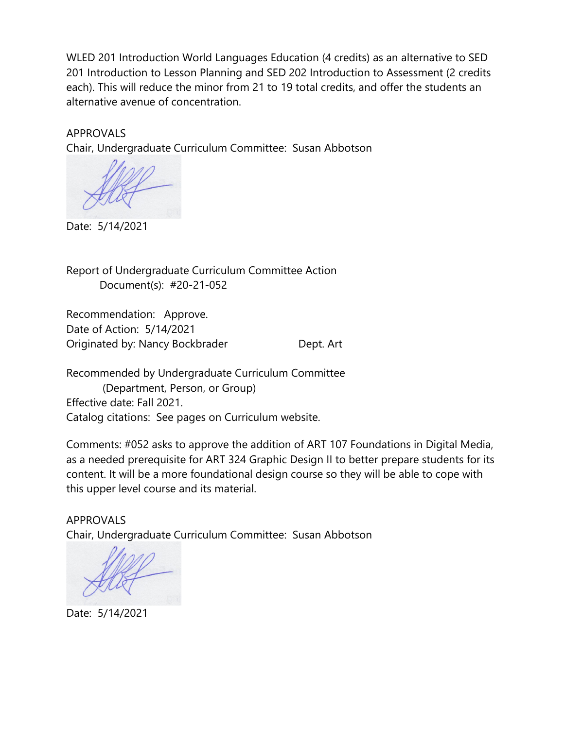WLED 201 Introduction World Languages Education (4 credits) as an alternative to SED 201 Introduction to Lesson Planning and SED 202 Introduction to Assessment (2 credits each). This will reduce the minor from 21 to 19 total credits, and offer the students an alternative avenue of concentration.

APPROVALS

Chair, Undergraduate Curriculum Committee: Susan Abbotson

Date: 5/14/2021

Report of Undergraduate Curriculum Committee Action Document(s): #20-21-052

Recommendation: Approve. Date of Action: 5/14/2021 Originated by: Nancy Bockbrader **Dept. Art** 

Recommended by Undergraduate Curriculum Committee (Department, Person, or Group) Effective date: Fall 2021. Catalog citations: See pages on Curriculum website.

Comments: #052 asks to approve the addition of ART 107 Foundations in Digital Media, as a needed prerequisite for ART 324 Graphic Design II to better prepare students for its content. It will be a more foundational design course so they will be able to cope with this upper level course and its material.

APPROVALS Chair, Undergraduate Curriculum Committee: Susan Abbotson

Date: 5/14/2021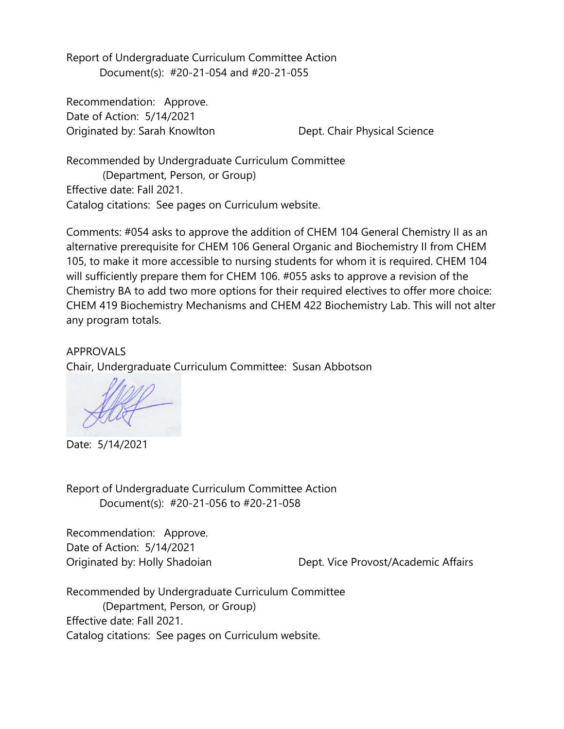Report of Undergraduate Curriculum Committee Action Document(s): #20-21-054 and #20-21-055

Recommendation: Approve. Date of Action: 5/14/2021 Originated by: Sarah Knowlton Dept. Chair Physical Science

Recommended by Undergraduate Curriculum Committee (Department, Person, or Group) Effective date: Fall 2021. Catalog citations: See pages on Curriculum website.

Comments: #054 asks to approve the addition of CHEM 104 General Chemistry II as an alternative prerequisite for CHEM 106 General Organic and Biochemistry II from CHEM 105, to make it more accessible to nursing students for whom it is required. CHEM 104 will sufficiently prepare them for CHEM 106. #055 asks to approve a revision of the Chemistry BA to add two more options for their required electives to offer more choice: CHEM 419 Biochemistry Mechanisms and CHEM 422 Biochemistry Lab. This will not alter any program totals.

APPROVALS Chair, Undergraduate Curriculum Committee: Susan Abbotson

Date: 5/14/2021

Report of Undergraduate Curriculum Committee Action Document(s): #20-21-056 to #20-21-058

Recommendation: Approve. Date of Action: 5/14/2021

Originated by: Holly Shadoian Dept. Vice Provost/Academic Affairs

Recommended by Undergraduate Curriculum Committee (Department, Person, or Group) Effective date: Fall 2021. Catalog citations: See pages on Curriculum website.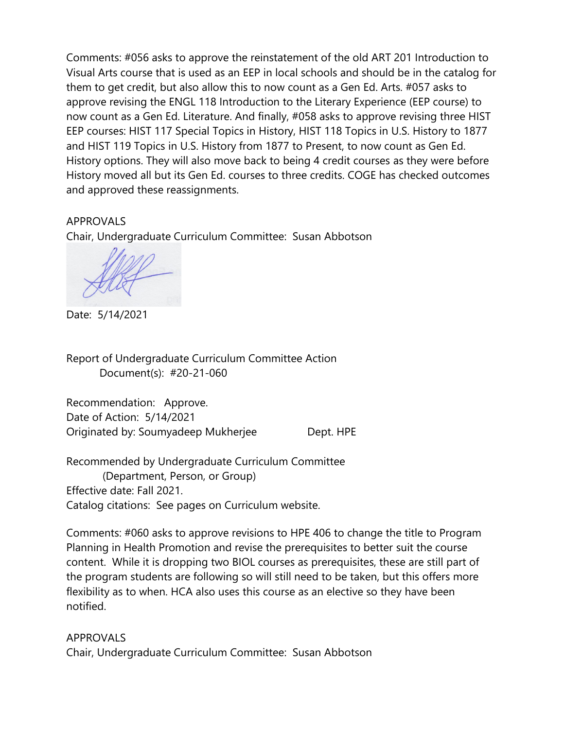Comments: #056 asks to approve the reinstatement of the old ART 201 Introduction to Visual Arts course that is used as an EEP in local schools and should be in the catalog for them to get credit, but also allow this to now count as a Gen Ed. Arts. #057 asks to approve revising the ENGL 118 Introduction to the Literary Experience (EEP course) to now count as a Gen Ed. Literature. And finally, #058 asks to approve revising three HIST EEP courses: HIST 117 Special Topics in History, HIST 118 Topics in U.S. History to 1877 and HIST 119 Topics in U.S. History from 1877 to Present, to now count as Gen Ed. History options. They will also move back to being 4 credit courses as they were before History moved all but its Gen Ed. courses to three credits. COGE has checked outcomes and approved these reassignments.

## APPROVALS

Chair, Undergraduate Curriculum Committee: Susan Abbotson

Date: 5/14/2021

Report of Undergraduate Curriculum Committee Action Document(s): #20-21-060

Recommendation: Approve. Date of Action: 5/14/2021 Originated by: Soumyadeep Mukherjee Dept. HPE

Recommended by Undergraduate Curriculum Committee (Department, Person, or Group) Effective date: Fall 2021. Catalog citations: See pages on Curriculum website.

Comments: #060 asks to approve revisions to HPE 406 to change the title to Program Planning in Health Promotion and revise the prerequisites to better suit the course content. While it is dropping two BIOL courses as prerequisites, these are still part of the program students are following so will still need to be taken, but this offers more flexibility as to when. HCA also uses this course as an elective so they have been notified.

APPROVALS Chair, Undergraduate Curriculum Committee: Susan Abbotson